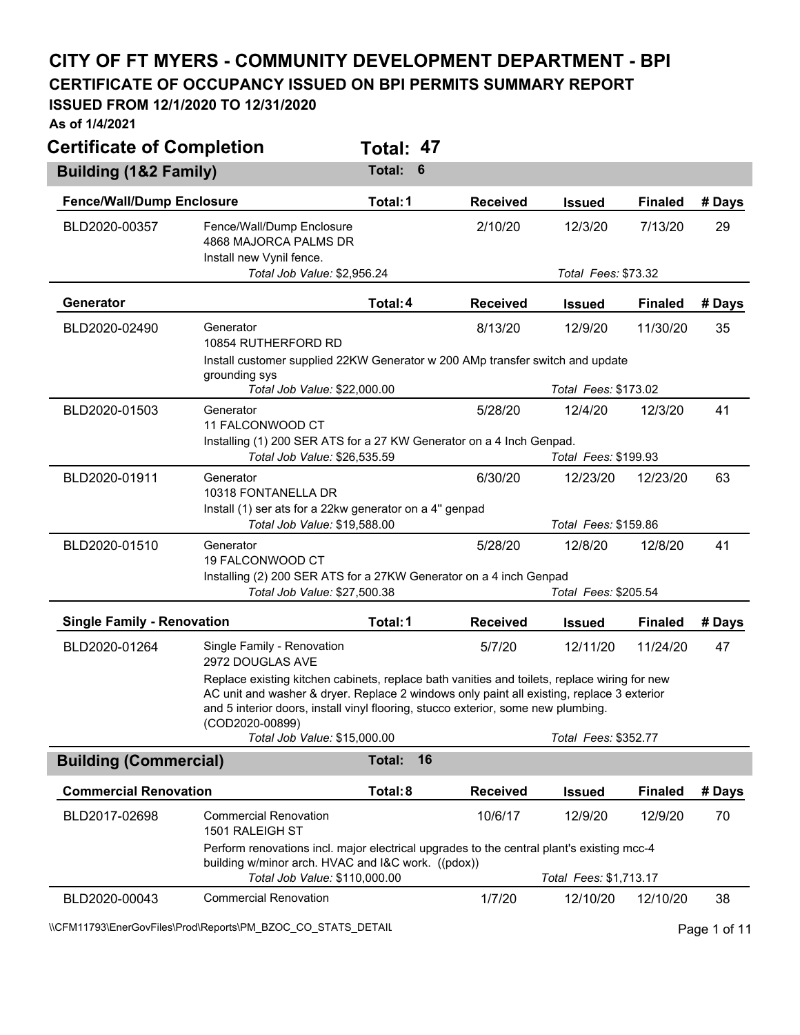## **CITY OF FT MYERS - COMMUNITY DEVELOPMENT DEPARTMENT - BPI**

**CERTIFICATE OF OCCUPANCY ISSUED ON BPI PERMITS SUMMARY REPORT** 

## **ISSUED FROM 12/1/2020 TO 12/31/2020**

**As of 1/4/2021** 

| <b>Certificate of Completion</b>  |                                                                                                                                                                                                                                                                                                   | Total: 47           |                 |                                 |                |        |
|-----------------------------------|---------------------------------------------------------------------------------------------------------------------------------------------------------------------------------------------------------------------------------------------------------------------------------------------------|---------------------|-----------------|---------------------------------|----------------|--------|
| <b>Building (1&amp;2 Family)</b>  |                                                                                                                                                                                                                                                                                                   | Total:<br>6         |                 |                                 |                |        |
| <b>Fence/Wall/Dump Enclosure</b>  |                                                                                                                                                                                                                                                                                                   | Total: 1            | <b>Received</b> | <b>Issued</b>                   | <b>Finaled</b> | # Days |
| BLD2020-00357                     | Fence/Wall/Dump Enclosure<br>4868 MAJORCA PALMS DR<br>Install new Vynil fence.<br>Total Job Value: \$2,956.24                                                                                                                                                                                     |                     | 2/10/20         | 12/3/20<br>Total Fees: \$73.32  | 7/13/20        | 29     |
| Generator                         |                                                                                                                                                                                                                                                                                                   | Total: 4            | <b>Received</b> | <b>Issued</b>                   | <b>Finaled</b> | # Days |
| BLD2020-02490                     | Generator<br>10854 RUTHERFORD RD<br>Install customer supplied 22KW Generator w 200 AMp transfer switch and update                                                                                                                                                                                 |                     | 8/13/20         | 12/9/20                         | 11/30/20       | 35     |
|                                   | grounding sys<br>Total Job Value: \$22,000.00                                                                                                                                                                                                                                                     |                     |                 | Total Fees: \$173.02            |                |        |
| BLD2020-01503                     | Generator<br>11 FALCONWOOD CT                                                                                                                                                                                                                                                                     |                     | 5/28/20         | 12/4/20                         | 12/3/20        | 41     |
|                                   | Installing (1) 200 SER ATS for a 27 KW Generator on a 4 Inch Genpad.<br>Total Job Value: \$26,535.59                                                                                                                                                                                              |                     |                 | Total Fees: \$199.93            |                |        |
| BLD2020-01911                     | Generator<br>10318 FONTANELLA DR                                                                                                                                                                                                                                                                  |                     | 6/30/20         | 12/23/20                        | 12/23/20       | 63     |
|                                   | Install (1) ser ats for a 22kw generator on a 4" genpad<br>Total Job Value: \$19,588.00                                                                                                                                                                                                           |                     |                 | Total Fees: \$159.86            |                |        |
| BLD2020-01510                     | Generator<br>19 FALCONWOOD CT<br>Installing (2) 200 SER ATS for a 27KW Generator on a 4 inch Genpad<br>Total Job Value: \$27,500.38                                                                                                                                                               |                     | 5/28/20         | 12/8/20<br>Total Fees: \$205.54 | 12/8/20        | 41     |
| <b>Single Family - Renovation</b> |                                                                                                                                                                                                                                                                                                   | Total: 1            | <b>Received</b> | <b>Issued</b>                   | <b>Finaled</b> | # Days |
| BLD2020-01264                     | Single Family - Renovation<br>2972 DOUGLAS AVE                                                                                                                                                                                                                                                    |                     | 5/7/20          | 12/11/20                        | 11/24/20       | 47     |
|                                   | Replace existing kitchen cabinets, replace bath vanities and toilets, replace wiring for new<br>AC unit and washer & dryer. Replace 2 windows only paint all existing, replace 3 exterior<br>and 5 interior doors, install vinyl flooring, stucco exterior, some new plumbing.<br>(COD2020-00899) |                     |                 |                                 |                |        |
|                                   | Total Job Value: \$15,000.00                                                                                                                                                                                                                                                                      |                     |                 | Total Fees: \$352.77            |                |        |
| <b>Building (Commercial)</b>      |                                                                                                                                                                                                                                                                                                   | 16<br><b>Total:</b> |                 |                                 |                |        |
| <b>Commercial Renovation</b>      |                                                                                                                                                                                                                                                                                                   | Total: 8            | <b>Received</b> | <b>Issued</b>                   | <b>Finaled</b> | # Days |
| BLD2017-02698                     | <b>Commercial Renovation</b><br>1501 RALEIGH ST                                                                                                                                                                                                                                                   |                     | 10/6/17         | 12/9/20                         | 12/9/20        | 70     |
|                                   | Perform renovations incl. major electrical upgrades to the central plant's existing mcc-4<br>building w/minor arch. HVAC and I&C work. ((pdox))<br>Total Job Value: \$110,000.00                                                                                                                  |                     |                 | Total Fees: \$1,713.17          |                |        |
| BLD2020-00043                     | <b>Commercial Renovation</b>                                                                                                                                                                                                                                                                      |                     | 1/7/20          | 12/10/20                        | 12/10/20       | 38     |

\\CFM11793\EnerGovFiles\Prod\Reports\PM\_BZOC\_CO\_STATS\_DETAIL\Public Page 1 of 11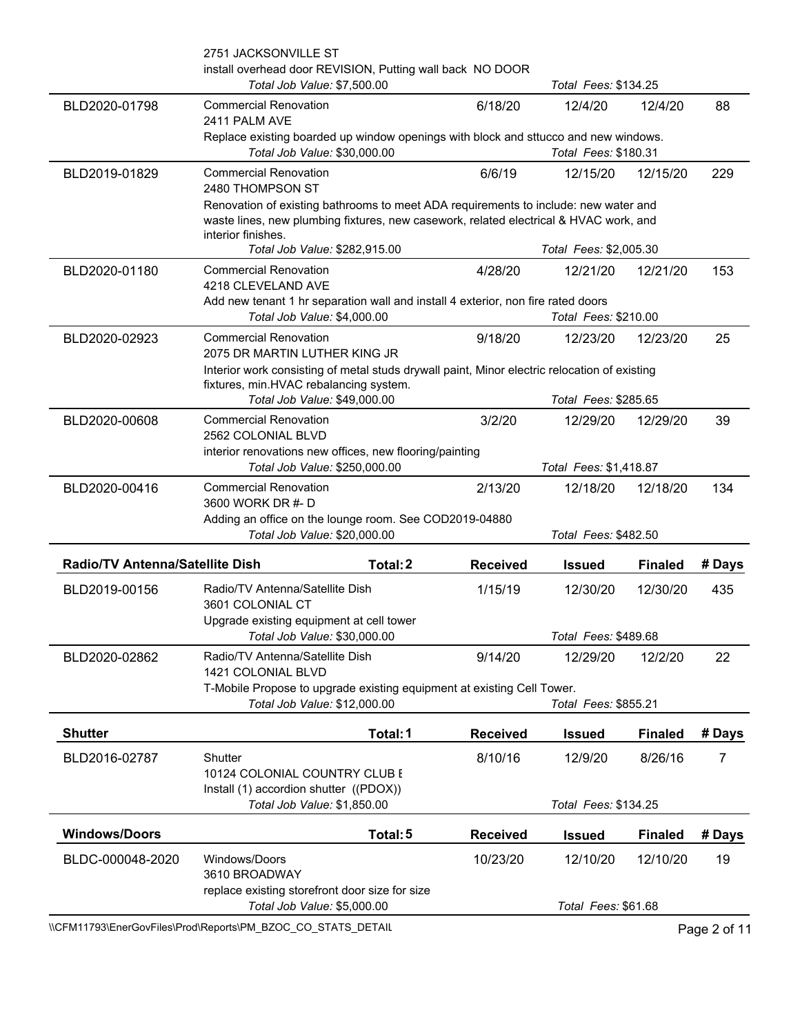|                                 | \\CFM11793\EnerGovFiles\Prod\Reports\PM_BZOC_CO_STATS_DETAIL                                                                                                                                                                        |                        |                                  |                | Page 2 of 11 |
|---------------------------------|-------------------------------------------------------------------------------------------------------------------------------------------------------------------------------------------------------------------------------------|------------------------|----------------------------------|----------------|--------------|
|                                 | replace existing storefront door size for size<br>Total Job Value: \$5,000.00                                                                                                                                                       |                        | Total Fees: \$61.68              |                |              |
| BLDC-000048-2020                | Windows/Doors<br>3610 BROADWAY                                                                                                                                                                                                      | 10/23/20               | 12/10/20                         | 12/10/20       | 19           |
| <b>Windows/Doors</b>            | Total: 5                                                                                                                                                                                                                            | <b>Received</b>        | <b>Issued</b>                    | <b>Finaled</b> | # Days       |
|                                 | Install (1) accordion shutter ((PDOX))<br>Total Job Value: \$1,850.00                                                                                                                                                               |                        | Total Fees: \$134.25             |                |              |
| BLD2016-02787                   | Shutter<br>10124 COLONIAL COUNTRY CLUB E                                                                                                                                                                                            | 8/10/16                | 12/9/20                          | 8/26/16        | 7            |
| <b>Shutter</b>                  | Total: 1                                                                                                                                                                                                                            | <b>Received</b>        | <b>Issued</b>                    | <b>Finaled</b> | # Days       |
|                                 | 1421 COLONIAL BLVD<br>T-Mobile Propose to upgrade existing equipment at existing Cell Tower.<br>Total Job Value: \$12,000.00                                                                                                        |                        | Total Fees: \$855.21             |                |              |
| BLD2020-02862                   | Total Job Value: \$30,000.00<br>Radio/TV Antenna/Satellite Dish                                                                                                                                                                     | 9/14/20                | Total Fees: \$489.68<br>12/29/20 | 12/2/20        | 22           |
| BLD2019-00156                   | Radio/TV Antenna/Satellite Dish<br>3601 COLONIAL CT<br>Upgrade existing equipment at cell tower                                                                                                                                     | 1/15/19                | 12/30/20                         | 12/30/20       | 435          |
| Radio/TV Antenna/Satellite Dish | Total: 2                                                                                                                                                                                                                            | <b>Received</b>        | <b>Issued</b>                    | <b>Finaled</b> | # Days       |
|                                 | Adding an office on the lounge room. See COD2019-04880<br>Total Job Value: \$20,000.00                                                                                                                                              |                        | Total Fees: \$482.50             |                |              |
| BLD2020-00416                   | <b>Commercial Renovation</b><br>3600 WORK DR #- D                                                                                                                                                                                   | 2/13/20                | 12/18/20                         | 12/18/20       | 134          |
|                                 | interior renovations new offices, new flooring/painting<br>Total Job Value: \$250,000.00                                                                                                                                            | Total Fees: \$1,418.87 |                                  |                |              |
| BLD2020-00608                   | <b>Commercial Renovation</b><br>2562 COLONIAL BLVD                                                                                                                                                                                  | 3/2/20                 | 12/29/20                         | 12/29/20       | 39           |
|                                 | Interior work consisting of metal studs drywall paint, Minor electric relocation of existing<br>fixtures, min.HVAC rebalancing system.<br>Total Job Value: \$49,000.00                                                              |                        | Total Fees: \$285.65             |                |              |
| BLD2020-02923                   | <b>Commercial Renovation</b><br>2075 DR MARTIN LUTHER KING JR                                                                                                                                                                       | 9/18/20                | 12/23/20                         | 12/23/20       | 25           |
|                                 | Add new tenant 1 hr separation wall and install 4 exterior, non fire rated doors<br>Total Job Value: \$4,000.00                                                                                                                     |                        | Total Fees: \$210.00             |                |              |
| BLD2020-01180                   | <b>Commercial Renovation</b><br>4218 CLEVELAND AVE                                                                                                                                                                                  | 4/28/20                | 12/21/20                         | 12/21/20       | 153          |
|                                 | Renovation of existing bathrooms to meet ADA requirements to include: new water and<br>waste lines, new plumbing fixtures, new casework, related electrical & HVAC work, and<br>interior finishes.<br>Total Job Value: \$282,915.00 |                        | Total Fees: \$2,005.30           |                |              |
| BLD2019-01829                   | <b>Commercial Renovation</b><br>2480 THOMPSON ST                                                                                                                                                                                    | 6/6/19                 | 12/15/20                         | 12/15/20       | 229          |
|                                 | 2411 PALM AVE<br>Replace existing boarded up window openings with block and sttucco and new windows.<br>Total Job Value: \$30,000.00                                                                                                |                        | Total Fees: \$180.31             |                |              |
| BLD2020-01798                   | <b>Commercial Renovation</b>                                                                                                                                                                                                        | 6/18/20                | 12/4/20                          | 12/4/20        | 88           |
|                                 | 2751 JACKSONVILLE ST<br>install overhead door REVISION, Putting wall back NO DOOR<br>Total Job Value: \$7,500.00                                                                                                                    |                        | Total Fees: \$134.25             |                |              |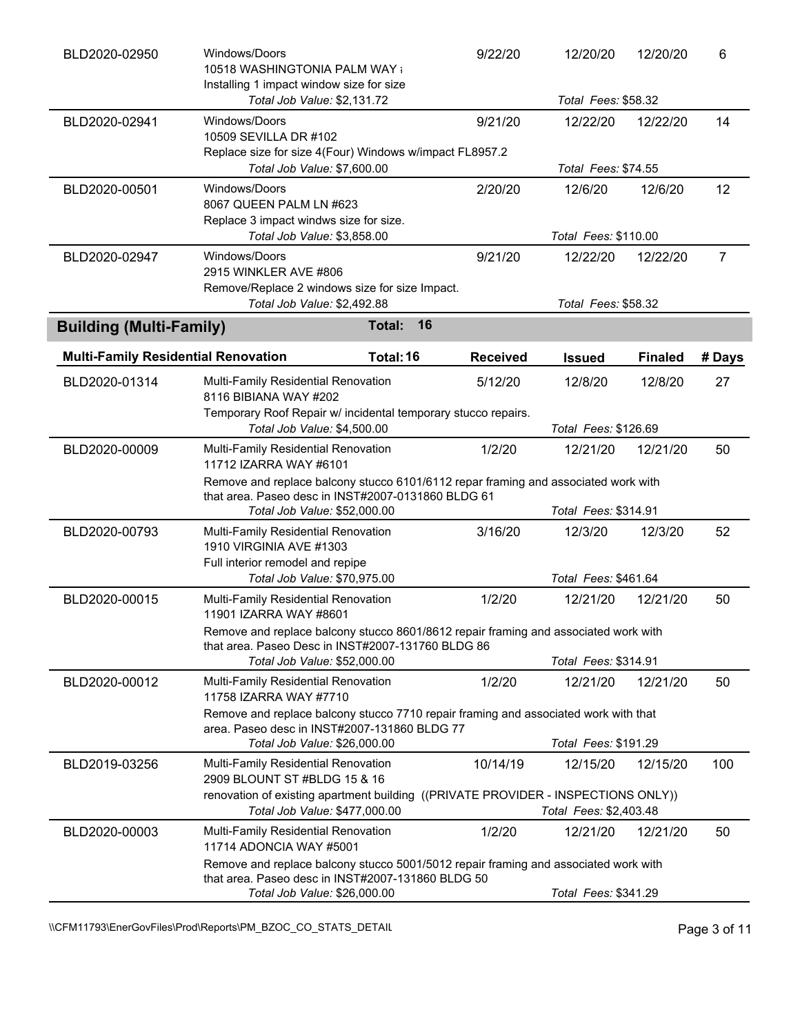| BLD2020-02950                              | Windows/Doors<br>10518 WASHINGTONIA PALM WAY a<br>Installing 1 impact window size for size                                                                               |              | 9/22/20         | 12/20/20                        | 12/20/20       | 6      |
|--------------------------------------------|--------------------------------------------------------------------------------------------------------------------------------------------------------------------------|--------------|-----------------|---------------------------------|----------------|--------|
|                                            | Total Job Value: \$2,131.72                                                                                                                                              |              |                 | Total Fees: \$58.32             |                |        |
| BLD2020-02941                              | Windows/Doors<br>10509 SEVILLA DR #102<br>Replace size for size 4(Four) Windows w/impact FL8957.2                                                                        |              | 9/21/20         | 12/22/20                        | 12/22/20       | 14     |
|                                            | Total Job Value: \$7,600.00                                                                                                                                              |              |                 | Total Fees: \$74.55             |                |        |
| BLD2020-00501                              | Windows/Doors<br>8067 QUEEN PALM LN #623<br>Replace 3 impact windws size for size.                                                                                       |              | 2/20/20         | 12/6/20                         | 12/6/20        | 12     |
|                                            | Total Job Value: \$3,858.00                                                                                                                                              |              |                 | Total Fees: \$110.00            |                |        |
| BLD2020-02947                              | Windows/Doors<br>2915 WINKLER AVE #806<br>Remove/Replace 2 windows size for size Impact.<br>Total Job Value: \$2,492.88                                                  |              | 9/21/20         | 12/22/20<br>Total Fees: \$58.32 | 12/22/20       | 7      |
| <b>Building (Multi-Family)</b>             |                                                                                                                                                                          | 16<br>Total: |                 |                                 |                |        |
|                                            |                                                                                                                                                                          |              |                 |                                 |                |        |
| <b>Multi-Family Residential Renovation</b> |                                                                                                                                                                          | Total: 16    | <b>Received</b> | <b>Issued</b>                   | <b>Finaled</b> | # Days |
| BLD2020-01314                              | Multi-Family Residential Renovation<br>8116 BIBIANA WAY #202<br>Temporary Roof Repair w/ incidental temporary stucco repairs.                                            |              | 5/12/20         | 12/8/20                         | 12/8/20        | 27     |
|                                            | Total Job Value: \$4,500.00                                                                                                                                              |              |                 | Total Fees: \$126.69            |                |        |
| BLD2020-00009                              | Multi-Family Residential Renovation<br>11712 IZARRA WAY #6101                                                                                                            |              | 1/2/20          | 12/21/20                        | 12/21/20       | 50     |
|                                            | Remove and replace balcony stucco 6101/6112 repar framing and associated work with<br>that area. Paseo desc in INST#2007-0131860 BLDG 61<br>Total Job Value: \$52,000.00 |              |                 | Total Fees: \$314.91            |                |        |
| BLD2020-00793                              | Multi-Family Residential Renovation<br>1910 VIRGINIA AVE #1303<br>Full interior remodel and repipe                                                                       |              | 3/16/20         | 12/3/20                         | 12/3/20        | 52     |
|                                            | Total Job Value: \$70,975.00                                                                                                                                             |              |                 | Total Fees: \$461.64            |                |        |
| BLD2020-00015                              | Multi-Family Residential Renovation<br>11901 IZARRA WAY #8601                                                                                                            |              | 1/2/20          | 12/21/20                        | 12/21/20       | 50     |
|                                            | Remove and replace balcony stucco 8601/8612 repair framing and associated work with<br>that area. Paseo Desc in INST#2007-131760 BLDG 86<br>Total Job Value: \$52,000.00 |              |                 | Total Fees: \$314.91            |                |        |
|                                            |                                                                                                                                                                          |              |                 |                                 |                |        |
| BLD2020-00012                              | Multi-Family Residential Renovation<br>11758 IZARRA WAY #7710<br>Remove and replace balcony stucco 7710 repair framing and associated work with that                     |              | 1/2/20          | 12/21/20                        | 12/21/20       | 50     |
|                                            | area. Paseo desc in INST#2007-131860 BLDG 77<br>Total Job Value: \$26,000.00                                                                                             |              |                 | Total Fees: \$191.29            |                |        |
| BLD2019-03256                              | Multi-Family Residential Renovation<br>2909 BLOUNT ST #BLDG 15 & 16                                                                                                      |              | 10/14/19        | 12/15/20                        | 12/15/20       | 100    |
|                                            | renovation of existing apartment building ((PRIVATE PROVIDER - INSPECTIONS ONLY))<br>Total Job Value: \$477,000.00                                                       |              |                 | Total Fees: \$2,403.48          |                |        |
| BLD2020-00003                              | Multi-Family Residential Renovation<br>11714 ADONCIA WAY #5001                                                                                                           |              | 1/2/20          | 12/21/20                        | 12/21/20       | 50     |
|                                            | Remove and replace balcony stucco 5001/5012 repair framing and associated work with<br>that area. Paseo desc in INST#2007-131860 BLDG 50                                 |              |                 |                                 |                |        |
|                                            | Total Job Value: \$26,000.00                                                                                                                                             |              |                 | Total Fees: \$341.29            |                |        |

\\CFM11793\EnerGovFiles\Prod\Reports\PM\_BZOC\_CO\_STATS\_DETAIL\Public Page 3 of 11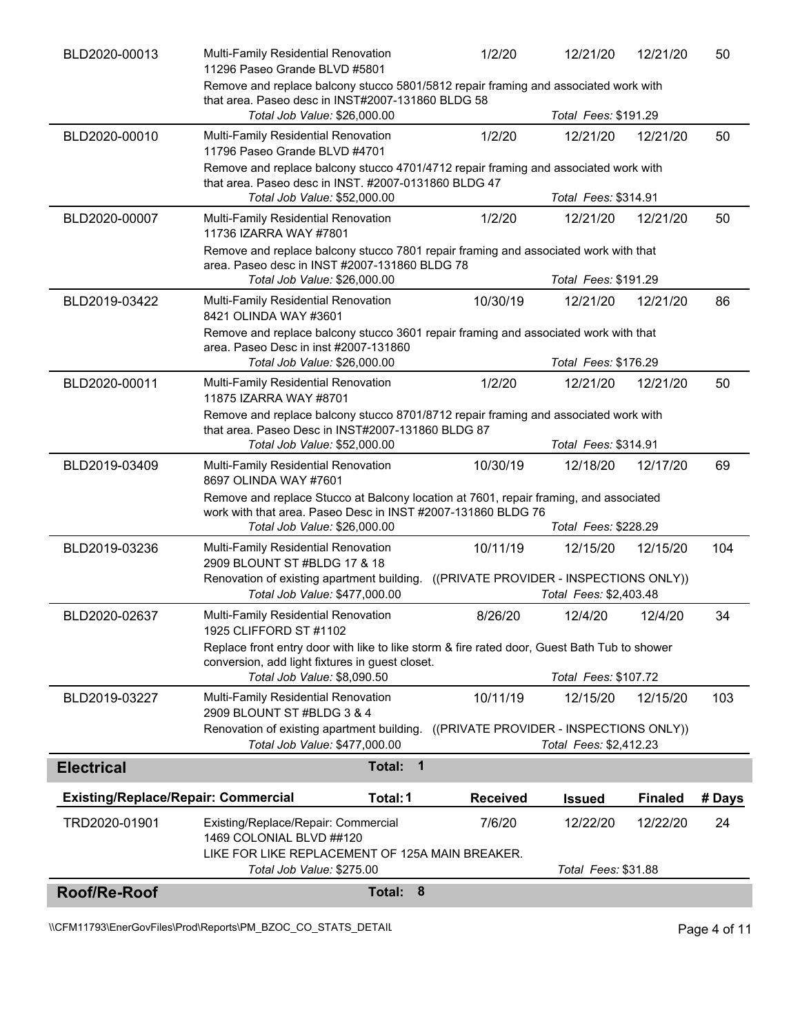| Roof/Re-Roof                               | Total: 8                                                                                                                                                                              |                 |                                   |                |        |
|--------------------------------------------|---------------------------------------------------------------------------------------------------------------------------------------------------------------------------------------|-----------------|-----------------------------------|----------------|--------|
| TRD2020-01901                              | Existing/Replace/Repair: Commercial<br>1469 COLONIAL BLVD ##120<br>LIKE FOR LIKE REPLACEMENT OF 125A MAIN BREAKER.<br>Total Job Value: \$275.00                                       | 7/6/20          | 12/22/20<br>Total Fees: \$31.88   | 12/22/20       | 24     |
| <b>Existing/Replace/Repair: Commercial</b> | Total: 1                                                                                                                                                                              | <b>Received</b> | <b>Issued</b>                     | <b>Finaled</b> | # Days |
| <b>Electrical</b>                          | $\overline{\mathbf{1}}$<br>Total:                                                                                                                                                     |                 |                                   |                |        |
|                                            | 2909 BLOUNT ST #BLDG 3 & 4<br>Renovation of existing apartment building. ((PRIVATE PROVIDER - INSPECTIONS ONLY))<br>Total Job Value: \$477,000.00                                     |                 | Total Fees: \$2,412.23            |                |        |
| BLD2019-03227                              | Total Job Value: \$8,090.50<br>Multi-Family Residential Renovation                                                                                                                    | 10/11/19        | Total Fees: \$107.72<br>12/15/20  | 12/15/20       | 103    |
|                                            | 1925 CLIFFORD ST #1102<br>Replace front entry door with like to like storm & fire rated door, Guest Bath Tub to shower<br>conversion, add light fixtures in guest closet.             |                 |                                   |                |        |
| BLD2020-02637                              | Renovation of existing apartment building. ((PRIVATE PROVIDER - INSPECTIONS ONLY))<br>Total Job Value: \$477,000.00<br>Multi-Family Residential Renovation                            | 8/26/20         | Total Fees: \$2,403.48<br>12/4/20 | 12/4/20        | 34     |
| BLD2019-03236                              | Multi-Family Residential Renovation<br>2909 BLOUNT ST #BLDG 17 & 18                                                                                                                   | 10/11/19        | 12/15/20                          | 12/15/20       | 104    |
|                                            | Remove and replace Stucco at Balcony location at 7601, repair framing, and associated<br>work with that area. Paseo Desc in INST #2007-131860 BLDG 76<br>Total Job Value: \$26,000.00 |                 | Total Fees: \$228.29              |                |        |
| BLD2019-03409                              | Multi-Family Residential Renovation<br>8697 OLINDA WAY #7601                                                                                                                          | 10/30/19        | 12/18/20                          | 12/17/20       | 69     |
|                                            | Remove and replace balcony stucco 8701/8712 repair framing and associated work with<br>that area. Paseo Desc in INST#2007-131860 BLDG 87<br>Total Job Value: \$52,000.00              |                 | Total Fees: \$314.91              |                |        |
| BLD2020-00011                              | Multi-Family Residential Renovation<br>11875 IZARRA WAY #8701                                                                                                                         | 1/2/20          | 12/21/20                          | 12/21/20       | 50     |
|                                            | Remove and replace balcony stucco 3601 repair framing and associated work with that<br>area. Paseo Desc in inst #2007-131860<br>Total Job Value: \$26,000.00                          |                 | Total Fees: \$176.29              |                |        |
| BLD2019-03422                              | Multi-Family Residential Renovation<br>8421 OLINDA WAY #3601                                                                                                                          | 10/30/19        | 12/21/20                          | 12/21/20       | 86     |
|                                            | Remove and replace balcony stucco 7801 repair framing and associated work with that<br>area. Paseo desc in INST #2007-131860 BLDG 78<br>Total Job Value: \$26,000.00                  |                 | Total Fees: \$191.29              |                |        |
| BLD2020-00007                              | Multi-Family Residential Renovation<br>11736 IZARRA WAY #7801                                                                                                                         | 1/2/20          | 12/21/20                          | 12/21/20       | 50     |
|                                            | Remove and replace balcony stucco 4701/4712 repair framing and associated work with<br>that area. Paseo desc in INST. #2007-0131860 BLDG 47<br>Total Job Value: \$52,000.00           |                 | Total Fees: \$314.91              |                |        |
| BLD2020-00010                              | Multi-Family Residential Renovation<br>11796 Paseo Grande BLVD #4701                                                                                                                  | 1/2/20          | 12/21/20                          | 12/21/20       | 50     |
|                                            | Remove and replace balcony stucco 5801/5812 repair framing and associated work with<br>that area. Paseo desc in INST#2007-131860 BLDG 58<br>Total Job Value: \$26,000.00              |                 | Total Fees: \$191.29              |                |        |
| BLD2020-00013                              | Multi-Family Residential Renovation<br>11296 Paseo Grande BLVD #5801                                                                                                                  | 1/2/20          | 12/21/20                          | 12/21/20       | 50     |

\\CFM11793\EnerGovFiles\Prod\Reports\PM\_BZOC\_CO\_STATS\_DETAIL\Public Page 4 of 11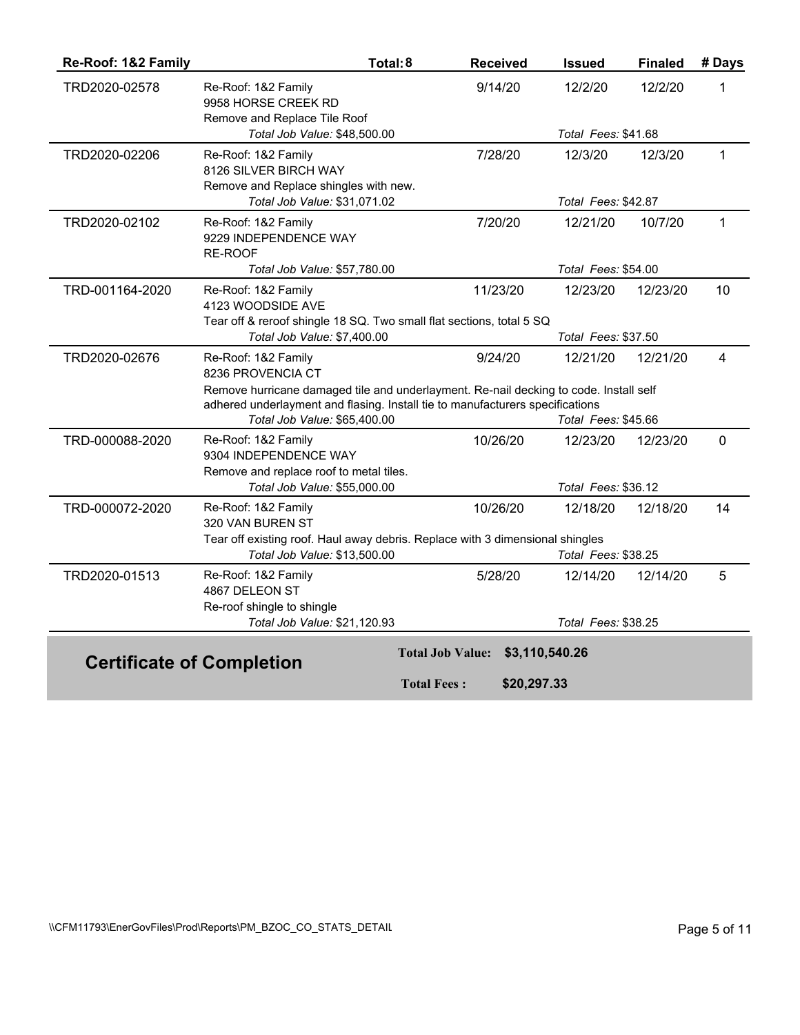| Re-Roof: 1&2 Family | Total: 8                                                                              | <b>Received</b>         | <b>Issued</b>              | <b>Finaled</b> | # Days         |
|---------------------|---------------------------------------------------------------------------------------|-------------------------|----------------------------|----------------|----------------|
| TRD2020-02578       | Re-Roof: 1&2 Family<br>9958 HORSE CREEK RD                                            | 9/14/20                 | 12/2/20                    | 12/2/20        | 1              |
|                     | Remove and Replace Tile Roof                                                          |                         |                            |                |                |
|                     | Total Job Value: \$48,500.00                                                          |                         | Total Fees: \$41.68        |                |                |
| TRD2020-02206       | Re-Roof: 1&2 Family<br>8126 SILVER BIRCH WAY                                          | 7/28/20                 | 12/3/20                    | 12/3/20        | $\mathbf{1}$   |
|                     | Remove and Replace shingles with new.<br>Total Job Value: \$31,071.02                 |                         | Total Fees: \$42.87        |                |                |
|                     |                                                                                       |                         |                            |                |                |
| TRD2020-02102       | Re-Roof: 1&2 Family<br>9229 INDEPENDENCE WAY<br>RE-ROOF                               | 7/20/20                 | 12/21/20                   | 10/7/20        | $\mathbf{1}$   |
|                     | Total Job Value: \$57,780.00                                                          |                         | Total Fees: \$54.00        |                |                |
| TRD-001164-2020     | Re-Roof: 1&2 Family<br>4123 WOODSIDE AVE                                              | 11/23/20                | 12/23/20                   | 12/23/20       | 10             |
|                     | Tear off & reroof shingle 18 SQ. Two small flat sections, total 5 SQ                  |                         |                            |                |                |
|                     | Total Job Value: \$7,400.00                                                           |                         | Total Fees: \$37.50        |                |                |
| TRD2020-02676       | Re-Roof: 1&2 Family<br>8236 PROVENCIA CT                                              | 9/24/20                 | 12/21/20                   | 12/21/20       | $\overline{4}$ |
|                     | Remove hurricane damaged tile and underlayment. Re-nail decking to code. Install self |                         |                            |                |                |
|                     | adhered underlayment and flasing. Install tie to manufacturers specifications         |                         |                            |                |                |
|                     | Total Job Value: \$65,400.00                                                          |                         | Total Fees: \$45.66        |                |                |
| TRD-000088-2020     | Re-Roof: 1&2 Family<br>9304 INDEPENDENCE WAY                                          | 10/26/20                | 12/23/20                   | 12/23/20       | $\mathbf 0$    |
|                     | Remove and replace roof to metal tiles.                                               |                         |                            |                |                |
|                     | Total Job Value: \$55,000.00                                                          |                         | <b>Total Fees: \$36.12</b> |                |                |
| TRD-000072-2020     | Re-Roof: 1&2 Family<br>320 VAN BUREN ST                                               | 10/26/20                | 12/18/20                   | 12/18/20       | 14             |
|                     | Tear off existing roof. Haul away debris. Replace with 3 dimensional shingles         |                         |                            |                |                |
|                     | Total Job Value: \$13,500.00                                                          |                         | Total Fees: \$38.25        |                |                |
| TRD2020-01513       | Re-Roof: 1&2 Family<br>4867 DELEON ST                                                 | 5/28/20                 | 12/14/20                   | 12/14/20       | 5              |
|                     | Re-roof shingle to shingle                                                            |                         |                            |                |                |
|                     | Total Job Value: \$21,120.93                                                          |                         | Total Fees: \$38.25        |                |                |
|                     |                                                                                       | <b>Total Job Value:</b> | \$3,110,540.26             |                |                |
|                     | <b>Certificate of Completion</b>                                                      |                         |                            |                |                |
|                     |                                                                                       | <b>Total Fees:</b>      | \$20,297.33                |                |                |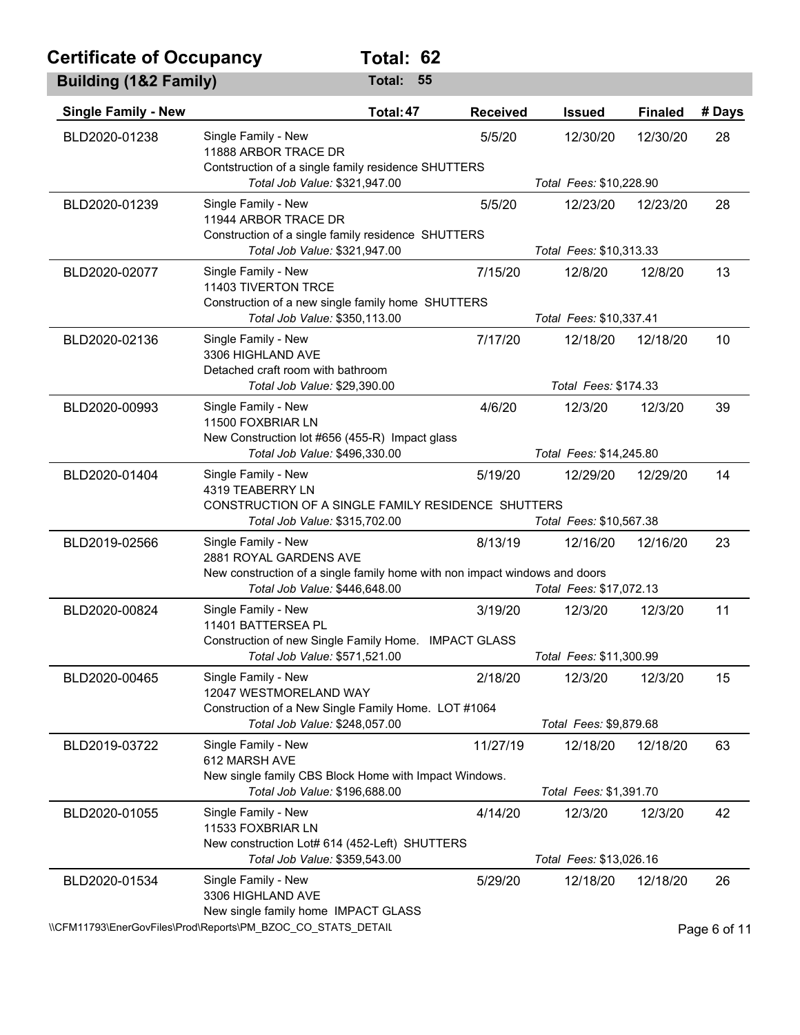## **Certificate of Occupancy Total: 62**

| <b>Building (1&amp;2 Family)</b> |                                                                                                                                    | Total:<br>55 |                 |                         |                |              |
|----------------------------------|------------------------------------------------------------------------------------------------------------------------------------|--------------|-----------------|-------------------------|----------------|--------------|
| <b>Single Family - New</b>       |                                                                                                                                    | Total: 47    | <b>Received</b> | <b>Issued</b>           | <b>Finaled</b> | # Days       |
| BLD2020-01238                    | Single Family - New<br>11888 ARBOR TRACE DR<br>Contstruction of a single family residence SHUTTERS                                 |              | 5/5/20          | 12/30/20                | 12/30/20       | 28           |
|                                  | Total Job Value: \$321,947.00                                                                                                      |              |                 | Total Fees: \$10,228.90 |                |              |
| BLD2020-01239                    | Single Family - New<br>11944 ARBOR TRACE DR<br>Construction of a single family residence SHUTTERS<br>Total Job Value: \$321,947.00 |              | 5/5/20          | 12/23/20                | 12/23/20       | 28           |
|                                  |                                                                                                                                    |              |                 | Total Fees: \$10,313.33 |                |              |
| BLD2020-02077                    | Single Family - New<br>11403 TIVERTON TRCE<br>Construction of a new single family home SHUTTERS                                    |              | 7/15/20         | 12/8/20                 | 12/8/20        | 13           |
|                                  | Total Job Value: \$350,113.00                                                                                                      |              |                 | Total Fees: \$10,337.41 |                |              |
| BLD2020-02136                    | Single Family - New<br>3306 HIGHLAND AVE<br>Detached craft room with bathroom                                                      |              | 7/17/20         | 12/18/20                | 12/18/20       | 10           |
|                                  | Total Job Value: \$29,390.00                                                                                                       |              |                 | Total Fees: \$174.33    |                |              |
| BLD2020-00993                    | Single Family - New<br>11500 FOXBRIAR LN<br>New Construction lot #656 (455-R) Impact glass                                         |              | 4/6/20          | 12/3/20                 | 12/3/20        | 39           |
|                                  | Total Job Value: \$496,330.00                                                                                                      |              |                 | Total Fees: \$14,245.80 |                |              |
| BLD2020-01404                    | Single Family - New<br>4319 TEABERRY LN<br>CONSTRUCTION OF A SINGLE FAMILY RESIDENCE SHUTTERS                                      |              | 5/19/20         | 12/29/20                | 12/29/20       | 14           |
|                                  | Total Job Value: \$315,702.00                                                                                                      |              |                 | Total Fees: \$10,567.38 |                |              |
| BLD2019-02566                    | Single Family - New<br>2881 ROYAL GARDENS AVE                                                                                      |              | 8/13/19         | 12/16/20                | 12/16/20       | 23           |
|                                  | New construction of a single family home with non impact windows and doors<br>Total Job Value: \$446,648.00                        |              |                 | Total Fees: \$17,072.13 |                |              |
| BLD2020-00824                    | Single Family - New<br>11401 BATTERSEA PL                                                                                          |              | 3/19/20         | 12/3/20                 | 12/3/20        | 11           |
|                                  | Construction of new Single Family Home. IMPACT GLASS                                                                               |              |                 | Total Fees: \$11,300.99 |                |              |
|                                  | Total Job Value: \$571,521.00                                                                                                      |              |                 |                         |                |              |
| BLD2020-00465                    | Single Family - New<br>12047 WESTMORELAND WAY<br>Construction of a New Single Family Home. LOT #1064                               |              | 2/18/20         | 12/3/20                 | 12/3/20        | 15           |
|                                  | Total Job Value: \$248,057.00                                                                                                      |              |                 | Total Fees: \$9,879.68  |                |              |
| BLD2019-03722                    | Single Family - New<br>612 MARSH AVE<br>New single family CBS Block Home with Impact Windows.                                      |              | 11/27/19        | 12/18/20                | 12/18/20       | 63           |
|                                  | Total Job Value: \$196,688.00                                                                                                      |              |                 | Total Fees: \$1,391.70  |                |              |
| BLD2020-01055                    | Single Family - New<br>11533 FOXBRIAR LN                                                                                           |              | 4/14/20         | 12/3/20                 | 12/3/20        | 42           |
|                                  | New construction Lot# 614 (452-Left) SHUTTERS<br>Total Job Value: \$359,543.00                                                     |              |                 | Total Fees: \$13,026.16 |                |              |
| BLD2020-01534                    | Single Family - New<br>3306 HIGHLAND AVE<br>New single family home IMPACT GLASS                                                    |              | 5/29/20         | 12/18/20                | 12/18/20       | 26           |
|                                  | \\CFM11793\EnerGovFiles\Prod\Reports\PM_BZOC_CO_STATS_DETAIL                                                                       |              |                 |                         |                | Page 6 of 11 |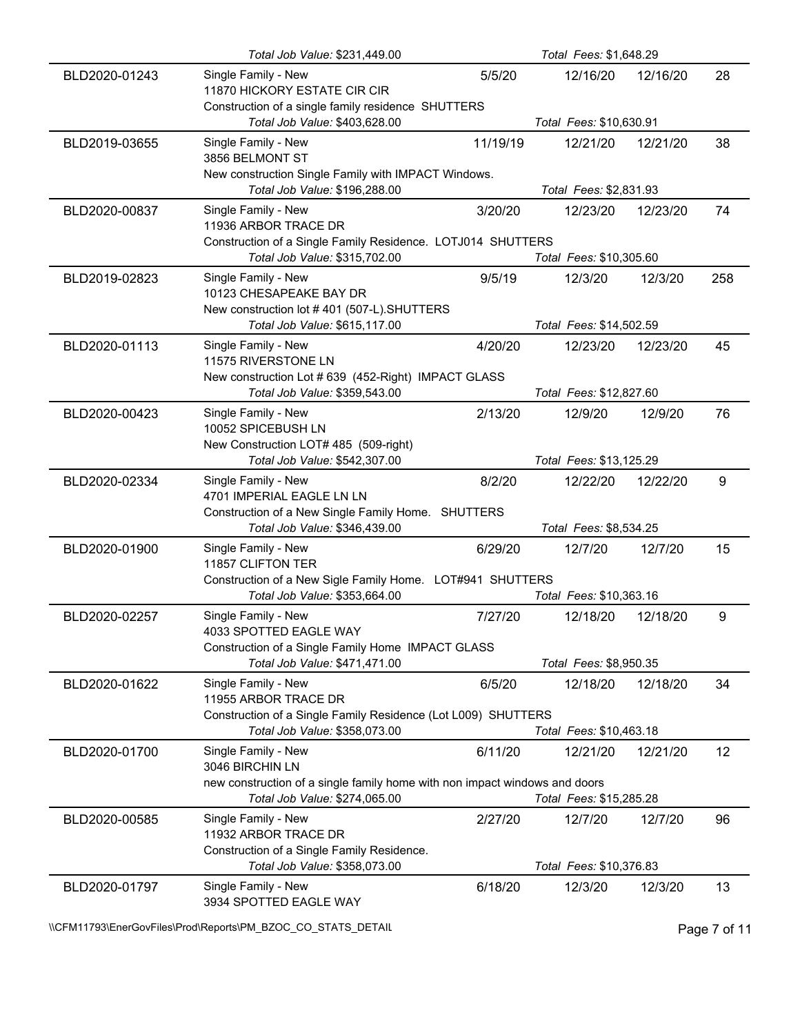|               | Total Job Value: \$231,449.00                                                                               |          | Total Fees: \$1,648.29  |          |     |
|---------------|-------------------------------------------------------------------------------------------------------------|----------|-------------------------|----------|-----|
| BLD2020-01243 | Single Family - New<br>11870 HICKORY ESTATE CIR CIR<br>Construction of a single family residence SHUTTERS   | 5/5/20   | 12/16/20                | 12/16/20 | 28  |
|               | Total Job Value: \$403,628.00                                                                               |          | Total Fees: \$10,630.91 |          |     |
| BLD2019-03655 | Single Family - New<br>3856 BELMONT ST                                                                      | 11/19/19 | 12/21/20                | 12/21/20 | 38  |
|               | New construction Single Family with IMPACT Windows.<br>Total Job Value: \$196,288.00                        |          | Total Fees: \$2,831.93  |          |     |
| BLD2020-00837 | Single Family - New<br>11936 ARBOR TRACE DR<br>Construction of a Single Family Residence. LOTJ014 SHUTTERS  | 3/20/20  | 12/23/20                | 12/23/20 | 74  |
|               | Total Job Value: \$315,702.00                                                                               |          | Total Fees: \$10,305.60 |          |     |
| BLD2019-02823 | Single Family - New<br>10123 CHESAPEAKE BAY DR<br>New construction lot #401 (507-L).SHUTTERS                | 9/5/19   | 12/3/20                 | 12/3/20  | 258 |
|               | Total Job Value: \$615,117.00                                                                               |          | Total Fees: \$14,502.59 |          |     |
| BLD2020-01113 | Single Family - New<br>11575 RIVERSTONE LN<br>New construction Lot # 639 (452-Right) IMPACT GLASS           | 4/20/20  | 12/23/20                | 12/23/20 | 45  |
|               | Total Job Value: \$359,543.00                                                                               |          | Total Fees: \$12,827.60 |          |     |
| BLD2020-00423 | Single Family - New<br>10052 SPICEBUSH LN                                                                   | 2/13/20  | 12/9/20                 | 12/9/20  | 76  |
|               | New Construction LOT# 485 (509-right)<br>Total Job Value: \$542,307.00                                      |          | Total Fees: \$13,125.29 |          |     |
| BLD2020-02334 | Single Family - New<br>4701 IMPERIAL EAGLE LN LN                                                            | 8/2/20   | 12/22/20                | 12/22/20 | 9   |
|               | Construction of a New Single Family Home. SHUTTERS<br>Total Job Value: \$346,439.00                         |          | Total Fees: \$8,534.25  |          |     |
| BLD2020-01900 | Single Family - New<br>11857 CLIFTON TER                                                                    | 6/29/20  | 12/7/20                 | 12/7/20  | 15  |
|               | Construction of a New Sigle Family Home. LOT#941 SHUTTERS<br>Total Job Value: \$353,664.00                  |          | Total Fees: \$10,363.16 |          |     |
| BLD2020-02257 | Single Family - New<br>4033 SPOTTED EAGLE WAY                                                               | 7/27/20  | 12/18/20                | 12/18/20 | 9   |
|               | Construction of a Single Family Home IMPACT GLASS<br>Total Job Value: \$471,471.00                          |          | Total Fees: \$8,950.35  |          |     |
| BLD2020-01622 | Single Family - New<br>11955 ARBOR TRACE DR                                                                 | 6/5/20   | 12/18/20                | 12/18/20 | 34  |
|               | Construction of a Single Family Residence (Lot L009) SHUTTERS<br>Total Job Value: \$358,073.00              |          | Total Fees: \$10,463.18 |          |     |
| BLD2020-01700 | Single Family - New<br>3046 BIRCHIN LN                                                                      | 6/11/20  | 12/21/20                | 12/21/20 | 12  |
|               | new construction of a single family home with non impact windows and doors<br>Total Job Value: \$274,065.00 |          | Total Fees: \$15,285.28 |          |     |
| BLD2020-00585 | Single Family - New<br>11932 ARBOR TRACE DR<br>Construction of a Single Family Residence.                   | 2/27/20  | 12/7/20                 | 12/7/20  | 96  |
|               | Total Job Value: \$358,073.00                                                                               |          | Total Fees: \$10,376.83 |          |     |
| BLD2020-01797 | Single Family - New<br>3934 SPOTTED EAGLE WAY                                                               | 6/18/20  | 12/3/20                 | 12/3/20  | 13  |

\\CFM11793\EnerGovFiles\Prod\Reports\PM\_BZOC\_CO\_STATS\_DETAIL\Public Page 7 of 11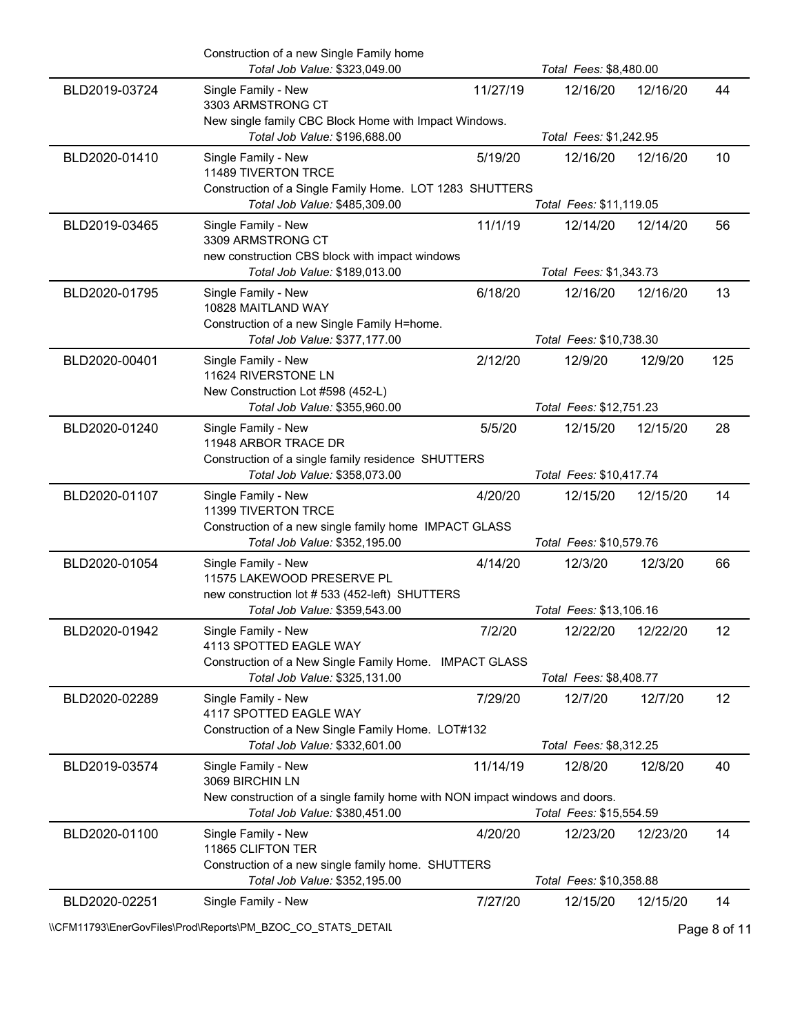|               | Construction of a new Single Family home<br>Total Job Value: \$323,049.00                                                       |          | Total Fees: \$8,480.00  |          |     |
|---------------|---------------------------------------------------------------------------------------------------------------------------------|----------|-------------------------|----------|-----|
| BLD2019-03724 | Single Family - New<br>3303 ARMSTRONG CT                                                                                        | 11/27/19 | 12/16/20                | 12/16/20 | 44  |
|               | New single family CBC Block Home with Impact Windows.<br>Total Job Value: \$196,688.00                                          |          | Total Fees: \$1,242.95  |          |     |
| BLD2020-01410 | Single Family - New<br>11489 TIVERTON TRCE                                                                                      | 5/19/20  | 12/16/20                | 12/16/20 | 10  |
|               | Construction of a Single Family Home. LOT 1283 SHUTTERS<br>Total Job Value: \$485,309.00                                        |          | Total Fees: \$11,119.05 |          |     |
| BLD2019-03465 | Single Family - New                                                                                                             | 11/1/19  | 12/14/20                | 12/14/20 | 56  |
|               | 3309 ARMSTRONG CT<br>new construction CBS block with impact windows<br>Total Job Value: \$189,013.00                            |          | Total Fees: \$1,343.73  |          |     |
| BLD2020-01795 | Single Family - New                                                                                                             | 6/18/20  | 12/16/20                | 12/16/20 | 13  |
|               | 10828 MAITLAND WAY<br>Construction of a new Single Family H=home.                                                               |          |                         |          |     |
|               | Total Job Value: \$377,177.00                                                                                                   |          | Total Fees: \$10,738.30 |          |     |
| BLD2020-00401 | Single Family - New<br>11624 RIVERSTONE LN                                                                                      | 2/12/20  | 12/9/20                 | 12/9/20  | 125 |
|               | New Construction Lot #598 (452-L)<br>Total Job Value: \$355,960.00                                                              |          | Total Fees: \$12,751.23 |          |     |
| BLD2020-01240 | Single Family - New<br>11948 ARBOR TRACE DR                                                                                     | 5/5/20   | 12/15/20                | 12/15/20 | 28  |
|               | Construction of a single family residence SHUTTERS<br>Total Job Value: \$358,073.00                                             |          | Total Fees: \$10,417.74 |          |     |
| BLD2020-01107 | Single Family - New                                                                                                             | 4/20/20  | 12/15/20                | 12/15/20 | 14  |
|               | 11399 TIVERTON TRCE<br>Construction of a new single family home IMPACT GLASS                                                    |          |                         |          |     |
|               | Total Job Value: \$352,195.00                                                                                                   |          | Total Fees: \$10,579.76 |          |     |
| BLD2020-01054 | Single Family - New<br>11575 LAKEWOOD PRESERVE PL                                                                               | 4/14/20  | 12/3/20                 | 12/3/20  | 66  |
|               | new construction lot # 533 (452-left) SHUTTERS<br>Total Job Value: \$359,543.00                                                 |          | Total Fees: \$13,106.16 |          |     |
| BLD2020-01942 | Single Family - New<br>4113 SPOTTED EAGLE WAY                                                                                   | 7/2/20   | 12/22/20                | 12/22/20 | 12  |
|               | Construction of a New Single Family Home. IMPACT GLASS                                                                          |          |                         |          |     |
|               | Total Job Value: \$325,131.00                                                                                                   |          | Total Fees: \$8,408.77  |          |     |
| BLD2020-02289 | Single Family - New<br>4117 SPOTTED EAGLE WAY                                                                                   | 7/29/20  | 12/7/20                 | 12/7/20  | 12  |
|               | Construction of a New Single Family Home. LOT#132<br>Total Job Value: \$332,601.00                                              |          | Total Fees: \$8,312.25  |          |     |
| BLD2019-03574 | Single Family - New                                                                                                             | 11/14/19 | 12/8/20                 | 12/8/20  | 40  |
|               | 3069 BIRCHIN LN<br>New construction of a single family home with NON impact windows and doors.<br>Total Job Value: \$380,451.00 |          | Total Fees: \$15,554.59 |          |     |
| BLD2020-01100 | Single Family - New                                                                                                             | 4/20/20  | 12/23/20                | 12/23/20 | 14  |
|               | 11865 CLIFTON TER<br>Construction of a new single family home. SHUTTERS                                                         |          |                         |          |     |
|               | Total Job Value: \$352,195.00                                                                                                   |          | Total Fees: \$10,358.88 |          |     |
| BLD2020-02251 | Single Family - New                                                                                                             | 7/27/20  | 12/15/20                | 12/15/20 | 14  |

\\CFM11793\EnerGovFiles\Prod\Reports\PM\_BZOC\_CO\_STATS\_DETAIL\Public Page 8 of 11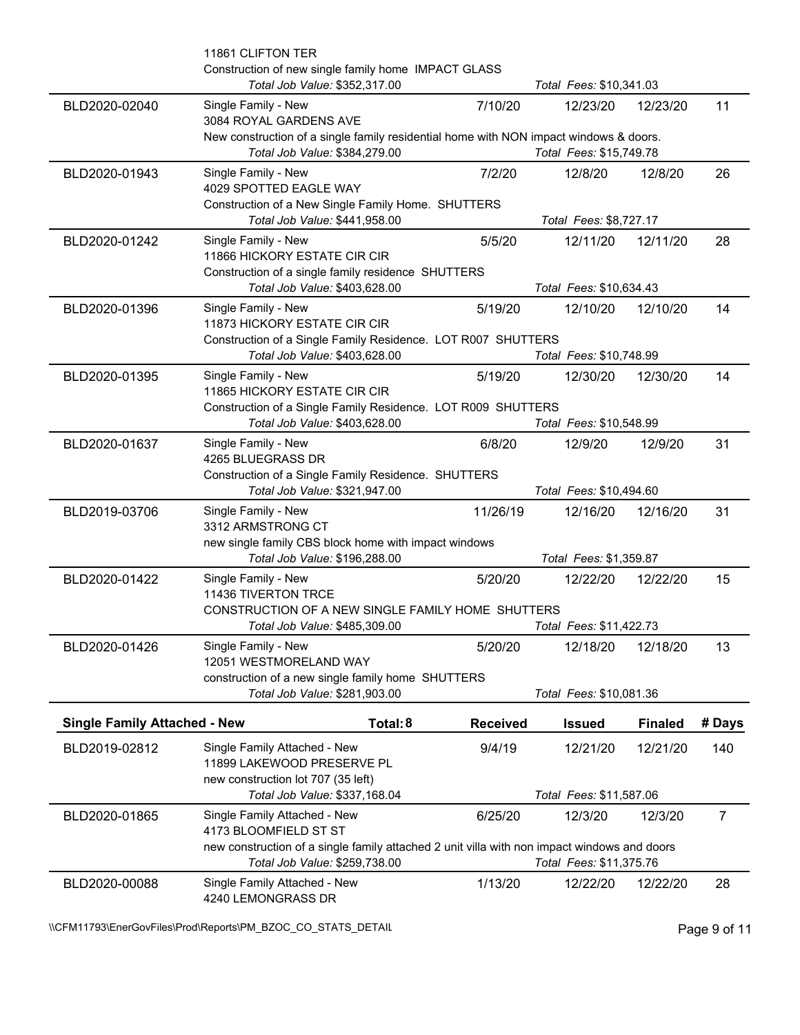|                                     | 11861 CLIFTON TER<br>Construction of new single family home IMPACT GLASS                                                     |                 |                         |                |                |
|-------------------------------------|------------------------------------------------------------------------------------------------------------------------------|-----------------|-------------------------|----------------|----------------|
|                                     | Total Job Value: \$352,317.00                                                                                                |                 | Total Fees: \$10,341.03 |                |                |
| BLD2020-02040                       | Single Family - New<br>3084 ROYAL GARDENS AVE                                                                                | 7/10/20         | 12/23/20                | 12/23/20       | 11             |
|                                     | New construction of a single family residential home with NON impact windows & doors.<br>Total Job Value: \$384,279.00       |                 | Total Fees: \$15,749.78 |                |                |
| BLD2020-01943                       | Single Family - New<br>4029 SPOTTED EAGLE WAY                                                                                | 7/2/20          | 12/8/20                 | 12/8/20        | 26             |
|                                     | Construction of a New Single Family Home. SHUTTERS<br>Total Job Value: \$441,958.00                                          |                 | Total Fees: \$8,727.17  |                |                |
| BLD2020-01242                       | Single Family - New<br>11866 HICKORY ESTATE CIR CIR<br>Construction of a single family residence SHUTTERS                    | 5/5/20          | 12/11/20                | 12/11/20       | 28             |
|                                     | Total Job Value: \$403,628.00                                                                                                |                 | Total Fees: \$10,634.43 |                |                |
| BLD2020-01396                       | Single Family - New<br>11873 HICKORY ESTATE CIR CIR<br>Construction of a Single Family Residence. LOT R007 SHUTTERS          | 5/19/20         | 12/10/20                | 12/10/20       | 14             |
|                                     | Total Job Value: \$403,628.00                                                                                                |                 | Total Fees: \$10,748.99 |                |                |
| BLD2020-01395                       | Single Family - New<br>11865 HICKORY ESTATE CIR CIR                                                                          | 5/19/20         | 12/30/20                | 12/30/20       | 14             |
|                                     | Construction of a Single Family Residence. LOT R009 SHUTTERS<br>Total Job Value: \$403,628.00                                |                 | Total Fees: \$10,548.99 |                |                |
| BLD2020-01637                       | Single Family - New<br>4265 BLUEGRASS DR                                                                                     | 6/8/20          | 12/9/20                 | 12/9/20        | 31             |
|                                     | Construction of a Single Family Residence. SHUTTERS<br>Total Job Value: \$321,947.00                                         |                 | Total Fees: \$10,494.60 |                |                |
| BLD2019-03706                       | Single Family - New<br>3312 ARMSTRONG CT                                                                                     | 11/26/19        | 12/16/20                | 12/16/20       | 31             |
|                                     | new single family CBS block home with impact windows<br>Total Job Value: \$196,288.00                                        |                 | Total Fees: \$1,359.87  |                |                |
| BLD2020-01422                       | Single Family - New<br>11436 TIVERTON TRCE                                                                                   | 5/20/20         | 12/22/20                | 12/22/20       | 15             |
|                                     | CONSTRUCTION OF A NEW SINGLE FAMILY HOME SHUTTERS<br>Total Job Value: \$485,309.00                                           |                 | Total Fees: \$11,422.73 |                |                |
| BLD2020-01426                       | Single Family - New                                                                                                          | 5/20/20         | 12/18/20                | 12/18/20       | 13             |
|                                     | 12051 WESTMORELAND WAY<br>construction of a new single family home SHUTTERS                                                  |                 |                         |                |                |
|                                     | Total Job Value: \$281,903.00                                                                                                |                 | Total Fees: \$10,081.36 |                |                |
| <b>Single Family Attached - New</b> | Total: 8                                                                                                                     | <b>Received</b> | <b>Issued</b>           | <b>Finaled</b> | # Days         |
| BLD2019-02812                       | Single Family Attached - New<br>11899 LAKEWOOD PRESERVE PL                                                                   | 9/4/19          | 12/21/20                | 12/21/20       | 140            |
|                                     | new construction lot 707 (35 left)<br>Total Job Value: \$337,168.04                                                          |                 | Total Fees: \$11,587.06 |                |                |
| BLD2020-01865                       | Single Family Attached - New<br>4173 BLOOMFIELD ST ST                                                                        | 6/25/20         | 12/3/20                 | 12/3/20        | $\overline{7}$ |
|                                     | new construction of a single family attached 2 unit villa with non impact windows and doors<br>Total Job Value: \$259,738.00 |                 | Total Fees: \$11,375.76 |                |                |
| BLD2020-00088                       | Single Family Attached - New<br>4240 LEMONGRASS DR                                                                           | 1/13/20         | 12/22/20                | 12/22/20       | 28             |

\\CFM11793\EnerGovFiles\Prod\Reports\PM\_BZOC\_CO\_STATS\_DETAIL\Public Page 9 of 11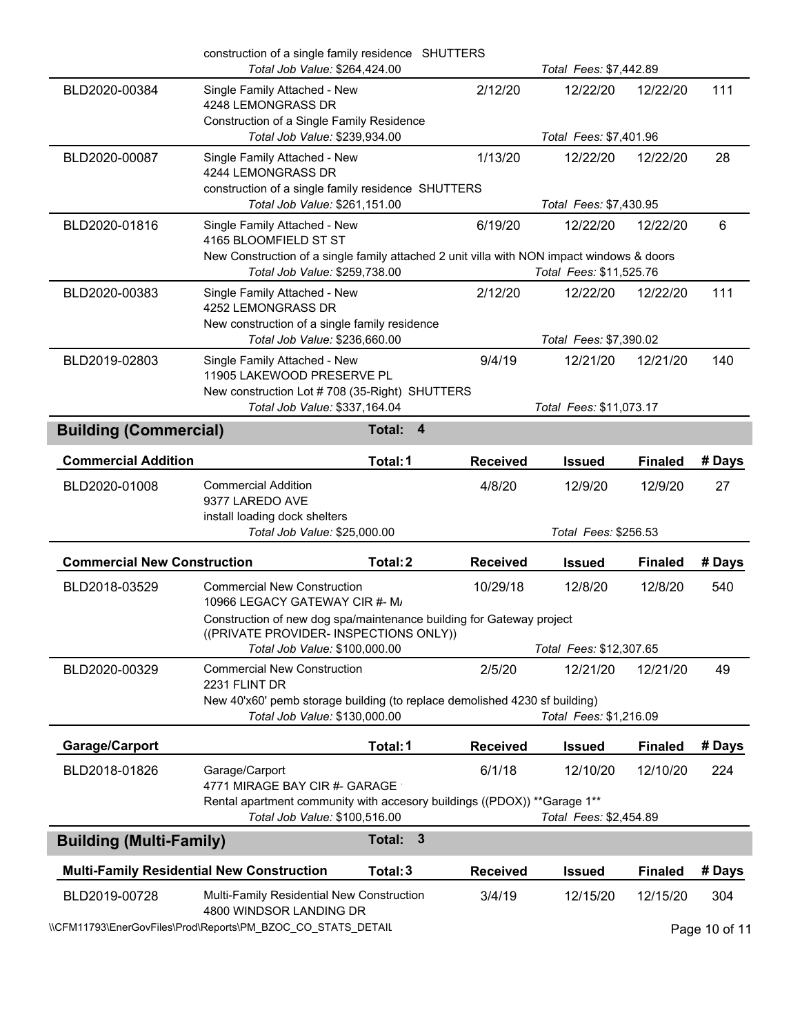|                                                  | construction of a single family residence SHUTTERS<br>Total Job Value: \$264,424.00                                                                |                                   |                 | Total Fees: \$7,442.89             |                |        |
|--------------------------------------------------|----------------------------------------------------------------------------------------------------------------------------------------------------|-----------------------------------|-----------------|------------------------------------|----------------|--------|
| BLD2020-00384                                    | Single Family Attached - New<br>4248 LEMONGRASS DR<br>Construction of a Single Family Residence<br>Total Job Value: \$239,934.00                   |                                   | 2/12/20         | 12/22/20<br>Total Fees: \$7,401.96 | 12/22/20       | 111    |
| BLD2020-00087                                    | Single Family Attached - New                                                                                                                       |                                   | 1/13/20         | 12/22/20                           | 12/22/20       | 28     |
|                                                  | 4244 LEMONGRASS DR<br>construction of a single family residence SHUTTERS                                                                           |                                   |                 |                                    |                |        |
|                                                  | Total Job Value: \$261,151.00                                                                                                                      |                                   |                 | Total Fees: \$7,430.95             |                |        |
| BLD2020-01816                                    | Single Family Attached - New<br>4165 BLOOMFIELD ST ST<br>New Construction of a single family attached 2 unit villa with NON impact windows & doors |                                   | 6/19/20         | 12/22/20                           | 12/22/20       | 6      |
|                                                  | Total Job Value: \$259,738.00                                                                                                                      |                                   |                 | Total Fees: \$11,525.76            |                |        |
| BLD2020-00383                                    | Single Family Attached - New<br>4252 LEMONGRASS DR<br>New construction of a single family residence                                                |                                   | 2/12/20         | 12/22/20                           | 12/22/20       | 111    |
|                                                  | Total Job Value: \$236,660.00                                                                                                                      |                                   |                 | Total Fees: \$7,390.02             |                |        |
| BLD2019-02803                                    | Single Family Attached - New<br>11905 LAKEWOOD PRESERVE PL<br>New construction Lot #708 (35-Right) SHUTTERS                                        |                                   | 9/4/19          | 12/21/20                           | 12/21/20       | 140    |
|                                                  | Total Job Value: \$337,164.04                                                                                                                      |                                   |                 | Total Fees: \$11,073.17            |                |        |
| <b>Building (Commercial)</b>                     |                                                                                                                                                    | $\overline{\mathbf{4}}$<br>Total: |                 |                                    |                |        |
| <b>Commercial Addition</b>                       |                                                                                                                                                    | Total: 1                          | <b>Received</b> | <b>Issued</b>                      | <b>Finaled</b> | # Days |
| BLD2020-01008                                    | <b>Commercial Addition</b><br>9377 LAREDO AVE<br>install loading dock shelters                                                                     |                                   | 4/8/20          | 12/9/20                            | 12/9/20        | 27     |
|                                                  | Total Job Value: \$25,000.00                                                                                                                       |                                   |                 | Total Fees: \$256.53               |                |        |
| <b>Commercial New Construction</b>               |                                                                                                                                                    | Total: 2                          | <b>Received</b> | <b>Issued</b>                      | <b>Finaled</b> | # Days |
| BLD2018-03529                                    | <b>Commercial New Construction</b><br>10966 LEGACY GATEWAY CIR #- M/                                                                               |                                   | 10/29/18        | 12/8/20                            | 12/8/20        | 540    |
|                                                  | Construction of new dog spa/maintenance building for Gateway project<br>((PRIVATE PROVIDER- INSPECTIONS ONLY))                                     |                                   |                 |                                    |                |        |
|                                                  | Total Job Value: \$100,000.00                                                                                                                      |                                   |                 | Total Fees: \$12,307.65            |                |        |
| BLD2020-00329                                    | <b>Commercial New Construction</b><br>2231 FLINT DR                                                                                                |                                   | 2/5/20          | 12/21/20                           | 12/21/20       | 49     |
|                                                  | New 40'x60' pemb storage building (to replace demolished 4230 sf building)<br>Total Job Value: \$130,000.00                                        |                                   |                 | Total Fees: \$1,216.09             |                |        |
| Garage/Carport                                   |                                                                                                                                                    | Total: 1                          | <b>Received</b> | <b>Issued</b>                      | <b>Finaled</b> | # Days |
| BLD2018-01826                                    | Garage/Carport<br>4771 MIRAGE BAY CIR #- GARAGE                                                                                                    |                                   | 6/1/18          | 12/10/20                           | 12/10/20       | 224    |
|                                                  | Rental apartment community with accesory buildings ((PDOX)) ** Garage 1**<br>Total Job Value: \$100,516.00                                         |                                   |                 | Total Fees: \$2,454.89             |                |        |
| <b>Building (Multi-Family)</b>                   |                                                                                                                                                    | $\mathbf{3}$<br>Total:            |                 |                                    |                |        |
| <b>Multi-Family Residential New Construction</b> |                                                                                                                                                    | Total: 3                          | <b>Received</b> | <b>Issued</b>                      | <b>Finaled</b> | # Days |
|                                                  |                                                                                                                                                    |                                   |                 |                                    |                |        |
| BLD2019-00728                                    | <b>Multi-Family Residential New Construction</b><br>4800 WINDSOR LANDING DR                                                                        |                                   | 3/4/19          | 12/15/20                           | 12/15/20       | 304    |